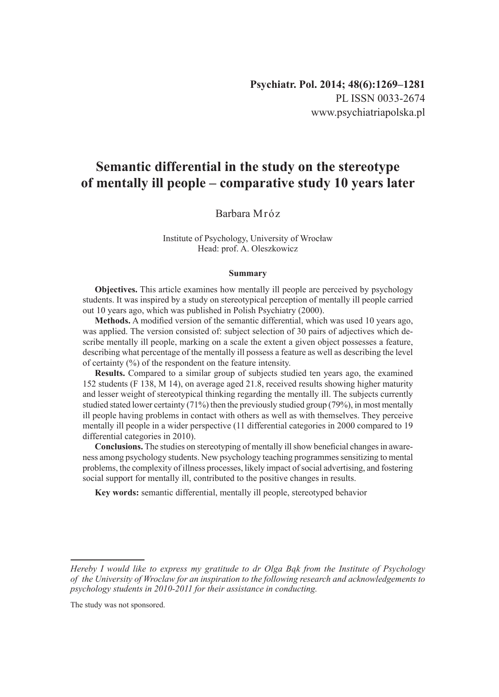# **Semantic differential in the study on the stereotype of mentally ill people – comparative study 10 years later**

# Barbara Mróz

#### Institute of Psychology, University of Wrocław Head: prof. A. Oleszkowicz

#### **Summary**

**Objectives.** This article examines how mentally ill people are perceived by psychology students. It was inspired by a study on stereotypical perception of mentally ill people carried out 10 years ago, which was published in Polish Psychiatry (2000).

**Methods.** A modified version of the semantic differential, which was used 10 years ago, was applied. The version consisted of: subject selection of 30 pairs of adjectives which describe mentally ill people, marking on a scale the extent a given object possesses a feature, describing what percentage of the mentally ill possess a feature as well as describing the level of certainty (%) of the respondent on the feature intensity.

**Results.** Compared to a similar group of subjects studied ten years ago, the examined 152 students (F 138, M 14), on average aged 21.8, received results showing higher maturity and lesser weight of stereotypical thinking regarding the mentally ill. The subjects currently studied stated lower certainty (71%) then the previously studied group (79%), in most mentally ill people having problems in contact with others as well as with themselves. They perceive mentally ill people in a wider perspective (11 differential categories in 2000 compared to 19 differential categories in 2010).

**Conclusions.** The studies on stereotyping of mentally ill show beneficial changes in awareness among psychology students. New psychology teaching programmes sensitizing to mental problems, the complexity of illness processes, likely impact of social advertising, and fostering social support for mentally ill, contributed to the positive changes in results.

**Key words:** semantic differential, mentally ill people, stereotyped behavior

*Hereby I would like to express my gratitude to dr Olga Bąk from the Institute of Psychology of the University of Wroclaw for an inspiration to the following research and acknowledgements to psychology students in 2010-2011 for their assistance in conducting.*

The study was not sponsored.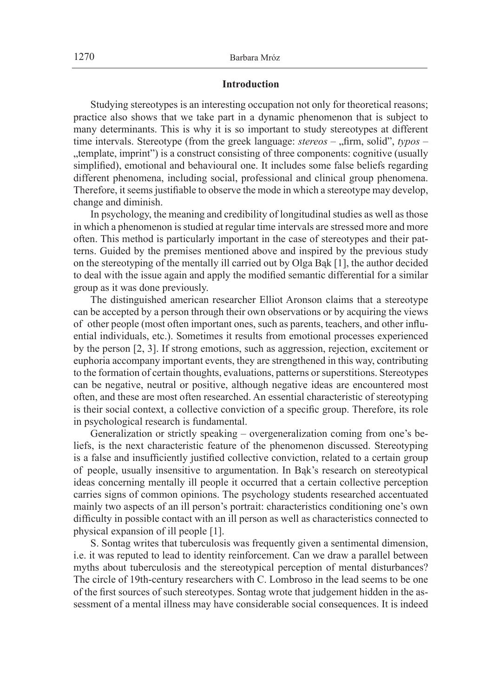## **Introduction**

Studying stereotypes is an interesting occupation not only for theoretical reasons; practice also shows that we take part in a dynamic phenomenon that is subject to many determinants. This is why it is so important to study stereotypes at different time intervals. Stereotype (from the greek language: *stereos* – "firm, solid", *typos* – "template, imprint") is a construct consisting of three components: cognitive (usually simplified), emotional and behavioural one. It includes some false beliefs regarding different phenomena, including social, professional and clinical group phenomena. Therefore, it seems justifiable to observe the mode in which a stereotype may develop, change and diminish.

In psychology, the meaning and credibility of longitudinal studies as well as those in which a phenomenon is studied at regular time intervals are stressed more and more often. This method is particularly important in the case of stereotypes and their patterns. Guided by the premises mentioned above and inspired by the previous study on the stereotyping of the mentally ill carried out by Olga Bąk [1], the author decided to deal with the issue again and apply the modified semantic differential for a similar group as it was done previously.

The distinguished american researcher Elliot Aronson claims that a stereotype can be accepted by a person through their own observations or by acquiring the views of other people (most often important ones, such as parents, teachers, and other influential individuals, etc.). Sometimes it results from emotional processes experienced by the person [2, 3]. If strong emotions, such as aggression, rejection, excitement or euphoria accompany important events, they are strengthened in this way, contributing to the formation of certain thoughts, evaluations, patterns or superstitions. Stereotypes can be negative, neutral or positive, although negative ideas are encountered most often, and these are most often researched. An essential characteristic of stereotyping is their social context, a collective conviction of a specific group. Therefore, its role in psychological research is fundamental.

Generalization or strictly speaking – overgeneralization coming from one's beliefs, is the next characteristic feature of the phenomenon discussed. Stereotyping is a false and insufficiently justified collective conviction, related to a certain group of people, usually insensitive to argumentation. In Bąk's research on stereotypical ideas concerning mentally ill people it occurred that a certain collective perception carries signs of common opinions. The psychology students researched accentuated mainly two aspects of an ill person's portrait: characteristics conditioning one's own difficulty in possible contact with an ill person as well as characteristics connected to physical expansion of ill people [1].

S. Sontag writes that tuberculosis was frequently given a sentimental dimension, i.e. it was reputed to lead to identity reinforcement. Can we draw a parallel between myths about tuberculosis and the stereotypical perception of mental disturbances? The circle of 19th-century researchers with C. Lombroso in the lead seems to be one of the first sources of such stereotypes. Sontag wrote that judgement hidden in the assessment of a mental illness may have considerable social consequences. It is indeed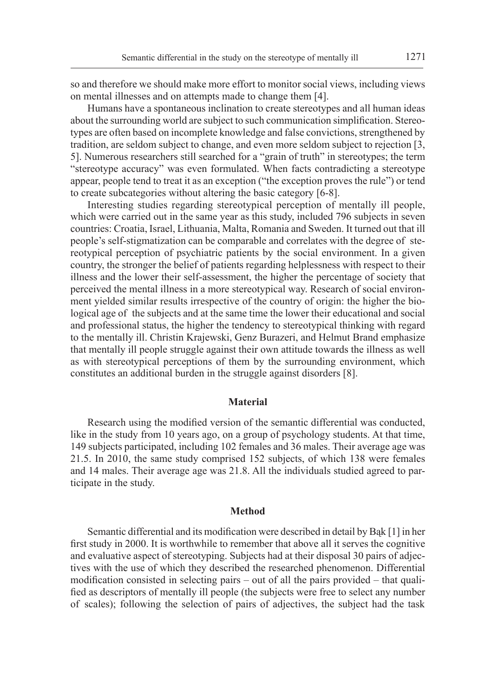so and therefore we should make more effort to monitor social views, including views on mental illnesses and on attempts made to change them [4].

Humans have a spontaneous inclination to create stereotypes and all human ideas about the surrounding world are subject to such communication simplification. Stereotypes are often based on incomplete knowledge and false convictions, strengthened by tradition, are seldom subject to change, and even more seldom subject to rejection [3, 5]. Numerous researchers still searched for a "grain of truth" in stereotypes; the term "stereotype accuracy" was even formulated. When facts contradicting a stereotype appear, people tend to treat it as an exception ("the exception proves the rule") or tend to create subcategories without altering the basic category [6-8].

Interesting studies regarding stereotypical perception of mentally ill people, which were carried out in the same year as this study, included 796 subjects in seven countries: Croatia, Israel, Lithuania, Malta, Romania and Sweden. It turned out that ill people's self-stigmatization can be comparable and correlates with the degree of stereotypical perception of psychiatric patients by the social environment. In a given country, the stronger the belief of patients regarding helplessness with respect to their illness and the lower their self-assessment, the higher the percentage of society that perceived the mental illness in a more stereotypical way. Research of social environment yielded similar results irrespective of the country of origin: the higher the biological age of the subjects and at the same time the lower their educational and social and professional status, the higher the tendency to stereotypical thinking with regard to the mentally ill. Christin Krajewski, Genz Burazeri, and Helmut Brand emphasize that mentally ill people struggle against their own attitude towards the illness as well as with stereotypical perceptions of them by the surrounding environment, which constitutes an additional burden in the struggle against disorders [8].

# **Material**

Research using the modified version of the semantic differential was conducted, like in the study from 10 years ago, on a group of psychology students. At that time, 149 subjects participated, including 102 females and 36 males. Their average age was 21.5. In 2010, the same study comprised 152 subjects, of which 138 were females and 14 males. Their average age was 21.8. All the individuals studied agreed to participate in the study.

#### **Method**

Semantic differential and its modification were described in detail by Bąk [1] in her first study in 2000. It is worthwhile to remember that above all it serves the cognitive and evaluative aspect of stereotyping. Subjects had at their disposal 30 pairs of adjectives with the use of which they described the researched phenomenon. Differential modification consisted in selecting pairs – out of all the pairs provided – that qualified as descriptors of mentally ill people (the subjects were free to select any number of scales); following the selection of pairs of adjectives, the subject had the task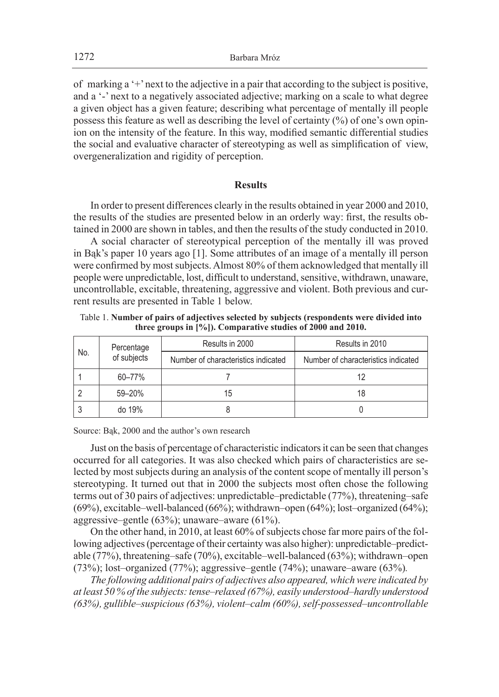of marking a '+' next to the adjective in a pair that according to the subject is positive, and a '-' next to a negatively associated adjective; marking on a scale to what degree a given object has a given feature; describing what percentage of mentally ill people possess this feature as well as describing the level of certainty (%) of one's own opinion on the intensity of the feature. In this way, modified semantic differential studies the social and evaluative character of stereotyping as well as simplification of view, overgeneralization and rigidity of perception.

## **Results**

In order to present differences clearly in the results obtained in year 2000 and 2010, the results of the studies are presented below in an orderly way: first, the results obtained in 2000 are shown in tables, and then the results of the study conducted in 2010.

A social character of stereotypical perception of the mentally ill was proved in Bąk's paper 10 years ago [1]. Some attributes of an image of a mentally ill person were confirmed by most subjects. Almost 80% of them acknowledged that mentally ill people were unpredictable, lost, difficult to understand, sensitive, withdrawn, unaware, uncontrollable, excitable, threatening, aggressive and violent. Both previous and current results are presented in Table 1 below.

Table 1. **Number of pairs of adjectives selected by subjects (respondents were divided into three groups in [%]). Comparative studies of 2000 and 2010.**

| No. | Percentage<br>of subjects | Results in 2000                     | Results in 2010                     |  |
|-----|---------------------------|-------------------------------------|-------------------------------------|--|
|     |                           | Number of characteristics indicated | Number of characteristics indicated |  |
|     | 60-77%                    |                                     | 12                                  |  |
|     | 59-20%                    | 15                                  | 18                                  |  |
|     | do 19%                    |                                     |                                     |  |

Source: Bąk, 2000 and the author's own research

Just on the basis of percentage of characteristic indicators it can be seen that changes occurred for all categories. It was also checked which pairs of characteristics are selected by most subjects during an analysis of the content scope of mentally ill person's stereotyping. It turned out that in 2000 the subjects most often chose the following terms out of 30 pairs of adjectives: unpredictable–predictable (77%), threatening–safe  $(69\%)$ , excitable–well-balanced  $(66\%)$ ; withdrawn–open  $(64\%)$ ; lost–organized  $(64\%)$ ; aggressive–gentle (63%); unaware–aware (61%).

On the other hand, in 2010, at least 60% of subjects chose far more pairs of the following adjectives (percentage of their certainty was also higher): unpredictable–predictable (77%), threatening–safe (70%), excitable–well-balanced (63%); withdrawn–open (73%); lost–organized (77%); aggressive–gentle (74%); unaware–aware (63%)*.*

*The following additional pairs of adjectives also appeared, which were indicated by at least 50 % of the subjects: tense–relaxed (67%), easily understood–hardly understood (63%), gullible–suspicious (63%), violent–calm (60%), self-possessed–uncontrollable*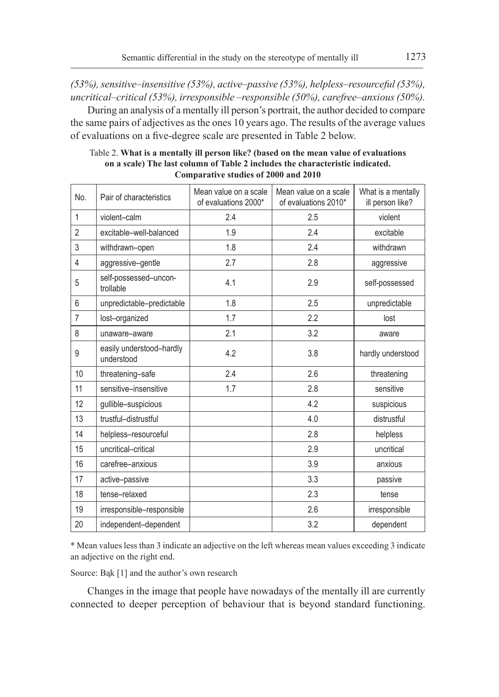*(53%), sensitive–insensitive (53%), active–passive (53%), helpless–resourceful (53%), uncritical–critical (53%), irresponsible –responsible (50%), carefree–anxious (50%).*

During an analysis of a mentally ill person's portrait, the author decided to compare the same pairs of adjectives as the ones 10 years ago. The results of the average values of evaluations on a five-degree scale are presented in Table 2 below.

| No.            | Pair of characteristics                | Mean value on a scale<br>of evaluations 2000* | Mean value on a scale<br>of evaluations 2010* | What is a mentally<br>ill person like? |
|----------------|----------------------------------------|-----------------------------------------------|-----------------------------------------------|----------------------------------------|
| $\mathbf{1}$   | violent-calm                           | 2.4                                           | 2.5                                           | violent                                |
| $\overline{2}$ | excitable-well-balanced                | 1.9                                           | 2.4                                           | excitable                              |
| 3              | withdrawn-open                         | 1.8                                           | 2.4                                           | withdrawn                              |
| 4              | aggressive-gentle                      | 2.7                                           | 2.8                                           | aggressive                             |
| 5              | self-possessed-uncon-<br>trollable     | 4.1                                           | 2.9                                           | self-possessed                         |
| 6              | unpredictable-predictable              | 1.8                                           | 2.5                                           | unpredictable                          |
| $\overline{7}$ | lost-organized                         | 1.7                                           | 2.2                                           | lost                                   |
| 8              | unaware-aware                          | 2.1                                           | 3.2                                           | aware                                  |
| 9              | easily understood-hardly<br>understood | 4.2                                           | 3.8                                           | hardly understood                      |
| 10             | threatening-safe                       | 2.4                                           | 2.6                                           | threatening                            |
| 11             | sensitive-insensitive                  | 1.7                                           | 2.8                                           | sensitive                              |
| 12             | gullible-suspicious                    |                                               | 4.2                                           | suspicious                             |
| 13             | trustful-distrustful                   |                                               | 4.0                                           | distrustful                            |
| 14             | helpless-resourceful                   |                                               | 2.8                                           | helpless                               |
| 15             | uncritical-critical                    |                                               | 2.9                                           | uncritical                             |
| 16             | carefree-anxious                       |                                               | 3.9                                           | anxious                                |
| 17             | active-passive                         |                                               | 3.3                                           | passive                                |
| 18             | tense-relaxed                          |                                               | 2.3                                           | tense                                  |
| 19             | irresponsible-responsible              |                                               | 2.6                                           | irresponsible                          |
| 20             | independent-dependent                  |                                               | 3.2                                           | dependent                              |

Table 2. **What is a mentally ill person like? (based on the mean value of evaluations on a scale) The last column of Table 2 includes the characteristic indicated. Comparative studies of 2000 and 2010**

\* Mean values less than 3 indicate an adjective on the left whereas mean values exceeding 3 indicate an adjective on the right end.

Source: Bąk [1] and the author's own research

Changes in the image that people have nowadays of the mentally ill are currently connected to deeper perception of behaviour that is beyond standard functioning.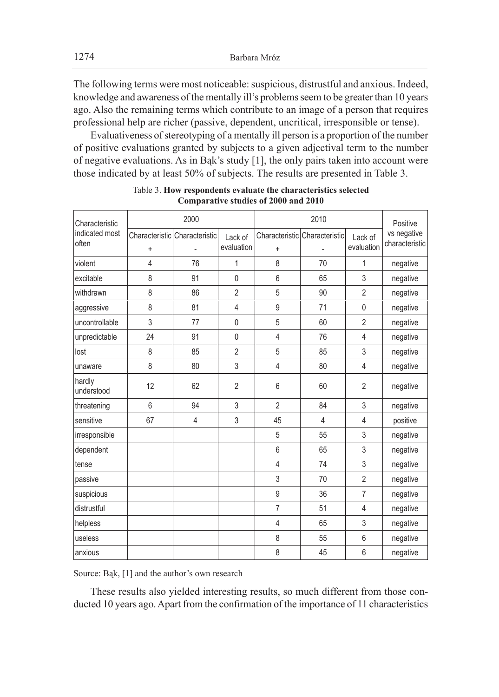The following terms were most noticeable: suspicious, distrustful and anxious. Indeed, knowledge and awareness of the mentally ill's problems seem to be greater than 10 years ago. Also the remaining terms which contribute to an image of a person that requires professional help are richer (passive, dependent, uncritical, irresponsible or tense).

Evaluativeness of stereotyping of a mentally ill person is a proportion of the number of positive evaluations granted by subjects to a given adjectival term to the number of negative evaluations. As in Bąk's study [1], the only pairs taken into account were those indicated by at least 50% of subjects. The results are presented in Table 3.

| Characteristic          | 2000           |                               |                       | 2010           |                               |                       | Positive                      |
|-------------------------|----------------|-------------------------------|-----------------------|----------------|-------------------------------|-----------------------|-------------------------------|
| indicated most<br>often | $\ddot{}$      | Characteristic Characteristic | Lack of<br>evaluation | $\ddot{}$      | Characteristic Characteristic | Lack of<br>evaluation | vs negative<br>characteristic |
| violent                 | $\overline{4}$ | 76                            | 1                     | 8              | 70                            | 1                     | negative                      |
| excitable               | 8              | 91                            | $\mathbf{0}$          | 6              | 65                            | 3                     | negative                      |
| withdrawn               | 8              | 86                            | $\overline{2}$        | 5              | 90                            | $\overline{2}$        | negative                      |
| aggressive              | 8              | 81                            | 4                     | 9              | 71                            | $\mathbf{0}$          | negative                      |
| uncontrollable          | 3              | 77                            | $\mathbf 0$           | 5              | 60                            | $\overline{2}$        | negative                      |
| unpredictable           | 24             | 91                            | $\mathbf 0$           | $\overline{4}$ | 76                            | $\overline{4}$        | negative                      |
| lost                    | 8              | 85                            | $\overline{2}$        | 5              | 85                            | 3                     | negative                      |
| unaware                 | 8              | 80                            | 3                     | $\overline{4}$ | 80                            | 4                     | negative                      |
| hardly<br>understood    | 12             | 62                            | $\overline{2}$        | 6              | 60                            | $\overline{2}$        | negative                      |
| threatening             | 6              | 94                            | 3                     | $\overline{2}$ | 84                            | 3                     | negative                      |
| sensitive               | 67             | 4                             | 3                     | 45             | $\overline{4}$                | $\overline{4}$        | positive                      |
| irresponsible           |                |                               |                       | 5              | 55                            | 3                     | negative                      |
| dependent               |                |                               |                       | 6              | 65                            | 3                     | negative                      |
| tense                   |                |                               |                       | $\overline{4}$ | 74                            | 3                     | negative                      |
| passive                 |                |                               |                       | 3              | 70                            | $\overline{2}$        | negative                      |
| suspicious              |                |                               |                       | 9              | 36                            | $\overline{7}$        | negative                      |
| distrustful             |                |                               |                       | $\overline{7}$ | 51                            | $\overline{4}$        | negative                      |
| helpless                |                |                               |                       | $\overline{4}$ | 65                            | 3                     | negative                      |
| useless                 |                |                               |                       | 8              | 55                            | 6                     | negative                      |
| anxious                 |                |                               |                       | 8              | 45                            | 6                     | negative                      |

Table 3. **How respondents evaluate the characteristics selected Comparative studies of 2000 and 2010**

Source: Bąk, [1] and the author's own research

These results also yielded interesting results, so much different from those conducted 10 years ago. Apart from the confirmation of the importance of 11 characteristics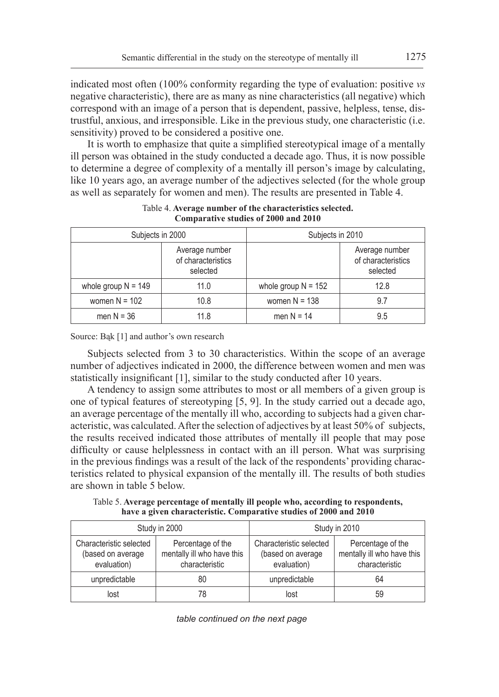indicated most often (100% conformity regarding the type of evaluation: positive *vs* negative characteristic), there are as many as nine characteristics (all negative) which correspond with an image of a person that is dependent, passive, helpless, tense, distrustful, anxious, and irresponsible. Like in the previous study, one characteristic (i.e. sensitivity) proved to be considered a positive one.

It is worth to emphasize that quite a simplified stereotypical image of a mentally ill person was obtained in the study conducted a decade ago. Thus, it is now possible to determine a degree of complexity of a mentally ill person's image by calculating, like 10 years ago, an average number of the adjectives selected (for the whole group as well as separately for women and men). The results are presented in Table 4.

| Subjects in 2000      |                                                  | Subjects in 2010      |                                                  |  |
|-----------------------|--------------------------------------------------|-----------------------|--------------------------------------------------|--|
|                       | Average number<br>of characteristics<br>selected |                       | Average number<br>of characteristics<br>selected |  |
| whole group $N = 149$ | 11.0                                             | whole group $N = 152$ | 12.8                                             |  |
| women $N = 102$       | 10.8                                             | women $N = 138$       | 9.7                                              |  |
| men $N = 36$          | 11.8                                             | men $N = 14$          | 9.5                                              |  |

Table 4. **Average number of the characteristics selected. Comparative studies of 2000 and 2010**

Source: Bąk [1] and author's own research

Subjects selected from 3 to 30 characteristics. Within the scope of an average number of adjectives indicated in 2000, the difference between women and men was statistically insignificant [1], similar to the study conducted after 10 years.

A tendency to assign some attributes to most or all members of a given group is one of typical features of stereotyping [5, 9]. In the study carried out a decade ago, an average percentage of the mentally ill who, according to subjects had a given characteristic, was calculated. After the selection of adjectives by at least 50% of subjects, the results received indicated those attributes of mentally ill people that may pose difficulty or cause helplessness in contact with an ill person. What was surprising in the previous findings was a result of the lack of the respondents' providing characteristics related to physical expansion of the mentally ill. The results of both studies are shown in table 5 below.

Table 5. **Average percentage of mentally ill people who, according to respondents, have a given characteristic. Comparative studies of 2000 and 2010**

|                                                             | Study in 2000                                                     | Study in 2010                                               |                                                                   |  |
|-------------------------------------------------------------|-------------------------------------------------------------------|-------------------------------------------------------------|-------------------------------------------------------------------|--|
| Characteristic selected<br>(based on average<br>evaluation) | Percentage of the<br>mentally ill who have this<br>characteristic | Characteristic selected<br>(based on average<br>evaluation) | Percentage of the<br>mentally ill who have this<br>characteristic |  |
| unpredictable                                               | 80                                                                | unpredictable                                               | 64                                                                |  |
| lost                                                        | 78                                                                | lost                                                        | 59                                                                |  |

*table continued on the next page*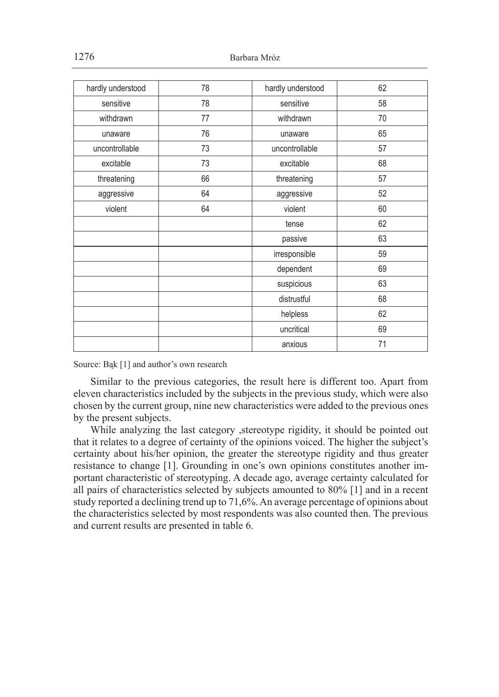| hardly understood | 78 | hardly understood | 62 |
|-------------------|----|-------------------|----|
| sensitive         | 78 | sensitive         | 58 |
| withdrawn         | 77 | withdrawn         | 70 |
| unaware           | 76 | unaware           | 65 |
| uncontrollable    | 73 | uncontrollable    | 57 |
| excitable         | 73 | excitable         | 68 |
| threatening       | 66 | threatening       | 57 |
| aggressive        | 64 | aggressive        | 52 |
| violent           | 64 | violent           | 60 |
|                   |    | tense             | 62 |
|                   |    | passive           | 63 |
|                   |    | irresponsible     | 59 |
|                   |    | dependent         | 69 |
|                   |    | suspicious        | 63 |
|                   |    | distrustful       | 68 |
|                   |    | helpless          | 62 |
|                   |    | uncritical        | 69 |
|                   |    | anxious           | 71 |

Source: Bąk [1] and author's own research

Similar to the previous categories, the result here is different too. Apart from eleven characteristics included by the subjects in the previous study, which were also chosen by the current group, nine new characteristics were added to the previous ones by the present subjects.

While analyzing the last category ,stereotype rigidity, it should be pointed out that it relates to a degree of certainty of the opinions voiced. The higher the subject's certainty about his/her opinion, the greater the stereotype rigidity and thus greater resistance to change [1]. Grounding in one's own opinions constitutes another important characteristic of stereotyping. A decade ago, average certainty calculated for all pairs of characteristics selected by subjects amounted to 80% [1] and in a recent study reported a declining trend up to 71,6%. An average percentage of opinions about the characteristics selected by most respondents was also counted then. The previous and current results are presented in table 6.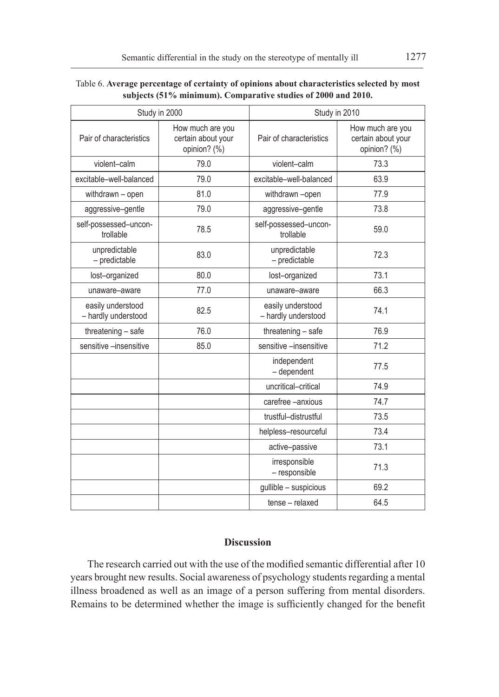|                                          | Study in 2000                                          | Study in 2010                            |                                                        |  |
|------------------------------------------|--------------------------------------------------------|------------------------------------------|--------------------------------------------------------|--|
| Pair of characteristics                  | How much are you<br>certain about your<br>opinion? (%) | Pair of characteristics                  | How much are you<br>certain about your<br>opinion? (%) |  |
| violent-calm                             | 79.0                                                   | violent-calm                             | 73.3                                                   |  |
| excitable-well-balanced                  | 79.0                                                   | excitable-well-balanced                  | 63.9                                                   |  |
| withdrawn - open                         | 81.0                                                   | withdrawn -open                          | 77.9                                                   |  |
| aggressive-gentle                        | 79.0                                                   | aggressive-gentle                        | 73.8                                                   |  |
| self-possessed-uncon-<br>trollable       | 78.5                                                   | self-possessed-uncon-<br>trollable       | 59.0                                                   |  |
| unpredictable<br>- predictable           | 83.0                                                   | unpredictable<br>- predictable           | 72.3                                                   |  |
| lost-organized                           | 80.0                                                   | lost-organized                           | 73.1                                                   |  |
| unaware-aware                            | 77.0                                                   | unaware-aware                            | 66.3                                                   |  |
| easily understood<br>- hardly understood | 82.5                                                   | easily understood<br>- hardly understood | 74.1                                                   |  |
| threatening - safe                       | 76.0                                                   | threatening - safe                       | 76.9                                                   |  |
| sensitive -insensitive                   | 85.0                                                   | sensitive -insensitive                   | 71.2                                                   |  |
|                                          |                                                        | independent<br>- dependent               | 77.5                                                   |  |
|                                          |                                                        | uncritical-critical                      | 74.9                                                   |  |
|                                          |                                                        | carefree -anxious                        | 74.7                                                   |  |
|                                          |                                                        | trustful-distrustful                     | 73.5                                                   |  |
|                                          |                                                        | helpless-resourceful                     | 73.4                                                   |  |
|                                          |                                                        | active-passive                           | 73.1                                                   |  |
|                                          |                                                        | irresponsible<br>- responsible           | 71.3                                                   |  |
|                                          |                                                        | gullible - suspicious                    | 69.2                                                   |  |
|                                          |                                                        | tense - relaxed                          | 64.5                                                   |  |

Table 6. **Average percentage of certainty of opinions about characteristics selected by most subjects (51% minimum). Comparative studies of 2000 and 2010.**

# **Discussion**

The research carried out with the use of the modified semantic differential after 10 years brought new results. Social awareness of psychology students regarding a mental illness broadened as well as an image of a person suffering from mental disorders. Remains to be determined whether the image is sufficiently changed for the benefit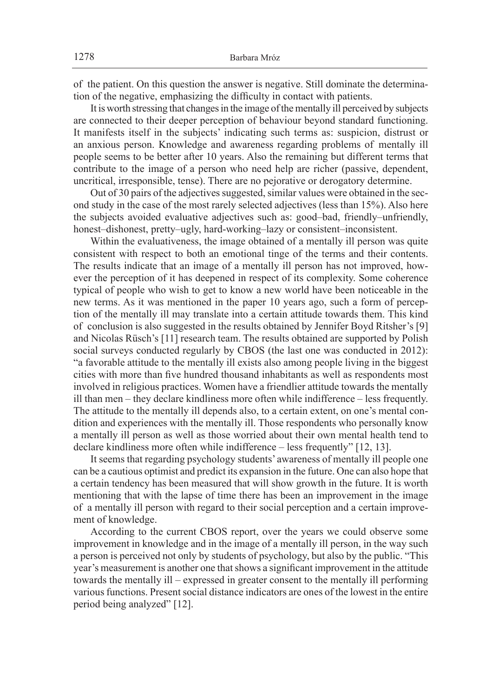of the patient. On this question the answer is negative. Still dominate the determination of the negative, emphasizing the difficulty in contact with patients.

It is worth stressing that changes in the image of the mentally ill perceived by subjects are connected to their deeper perception of behaviour beyond standard functioning. It manifests itself in the subjects' indicating such terms as: suspicion, distrust or an anxious person. Knowledge and awareness regarding problems of mentally ill people seems to be better after 10 years. Also the remaining but different terms that contribute to the image of a person who need help are richer (passive, dependent, uncritical, irresponsible, tense). There are no pejorative or derogatory determine.

Out of 30 pairs of the adjectives suggested, similar values were obtained in the second study in the case of the most rarely selected adjectives (less than 15%). Also here the subjects avoided evaluative adjectives such as: good–bad, friendly–unfriendly, honest–dishonest, pretty–ugly, hard-working–lazy or consistent–inconsistent.

Within the evaluativeness, the image obtained of a mentally ill person was quite consistent with respect to both an emotional tinge of the terms and their contents. The results indicate that an image of a mentally ill person has not improved, however the perception of it has deepened in respect of its complexity. Some coherence typical of people who wish to get to know a new world have been noticeable in the new terms. As it was mentioned in the paper 10 years ago, such a form of perception of the mentally ill may translate into a certain attitude towards them. This kind of conclusion is also suggested in the results obtained by Jennifer Boyd Ritsher's [9] and Nicolas Rüsch's [11] research team. The results obtained are supported by Polish social surveys conducted regularly by CBOS (the last one was conducted in 2012): "a favorable attitude to the mentally ill exists also among people living in the biggest cities with more than five hundred thousand inhabitants as well as respondents most involved in religious practices. Women have a friendlier attitude towards the mentally ill than men – they declare kindliness more often while indifference – less frequently. The attitude to the mentally ill depends also, to a certain extent, on one's mental condition and experiences with the mentally ill. Those respondents who personally know a mentally ill person as well as those worried about their own mental health tend to declare kindliness more often while indifference – less frequently" [12, 13].

It seems that regarding psychology students' awareness of mentally ill people one can be a cautious optimist and predict its expansion in the future. One can also hope that a certain tendency has been measured that will show growth in the future. It is worth mentioning that with the lapse of time there has been an improvement in the image of a mentally ill person with regard to their social perception and a certain improvement of knowledge.

According to the current CBOS report, over the years we could observe some improvement in knowledge and in the image of a mentally ill person, in the way such a person is perceived not only by students of psychology, but also by the public. "This year's measurement is another one that shows a significant improvement in the attitude towards the mentally ill – expressed in greater consent to the mentally ill performing various functions. Present social distance indicators are ones of the lowest in the entire period being analyzed" [12].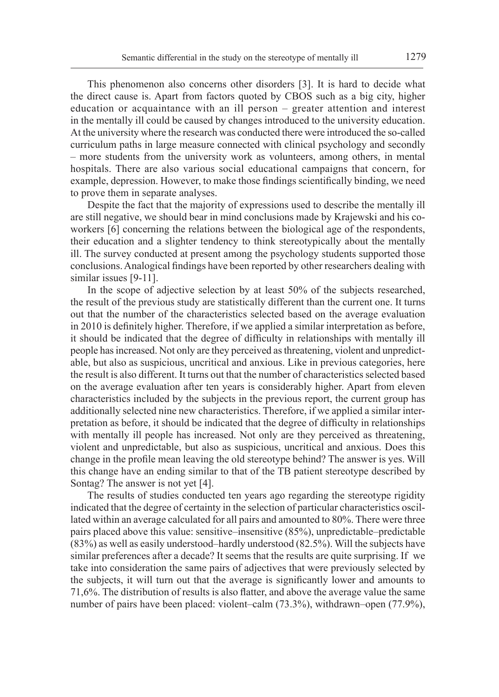This phenomenon also concerns other disorders [3]. It is hard to decide what the direct cause is. Apart from factors quoted by CBOS such as a big city, higher education or acquaintance with an ill person – greater attention and interest in the mentally ill could be caused by changes introduced to the university education. At the university where the research was conducted there were introduced the so-called curriculum paths in large measure connected with clinical psychology and secondly – more students from the university work as volunteers, among others, in mental hospitals. There are also various social educational campaigns that concern, for example, depression. However, to make those findings scientifically binding, we need to prove them in separate analyses.

Despite the fact that the majority of expressions used to describe the mentally ill are still negative, we should bear in mind conclusions made by Krajewski and his coworkers [6] concerning the relations between the biological age of the respondents, their education and a slighter tendency to think stereotypically about the mentally ill. The survey conducted at present among the psychology students supported those conclusions. Analogical findings have been reported by other researchers dealing with similar issues [9-11].

In the scope of adjective selection by at least 50% of the subjects researched, the result of the previous study are statistically different than the current one. It turns out that the number of the characteristics selected based on the average evaluation in 2010 is definitely higher. Therefore, if we applied a similar interpretation as before, it should be indicated that the degree of difficulty in relationships with mentally ill people has increased. Not only are they perceived as threatening, violent and unpredictable, but also as suspicious, uncritical and anxious. Like in previous categories, here the result is also different. It turns out that the number of characteristics selected based on the average evaluation after ten years is considerably higher. Apart from eleven characteristics included by the subjects in the previous report, the current group has additionally selected nine new characteristics. Therefore, if we applied a similar interpretation as before, it should be indicated that the degree of difficulty in relationships with mentally ill people has increased. Not only are they perceived as threatening, violent and unpredictable, but also as suspicious, uncritical and anxious. Does this change in the profile mean leaving the old stereotype behind? The answer is yes. Will this change have an ending similar to that of the TB patient stereotype described by Sontag? The answer is not yet [4].

The results of studies conducted ten years ago regarding the stereotype rigidity indicated that the degree of certainty in the selection of particular characteristics oscillated within an average calculated for all pairs and amounted to 80%. There were three pairs placed above this value: sensitive–insensitive (85%), unpredictable–predictable (83%) as well as easily understood–hardly understood (82.5%). Will the subjects have similar preferences after a decade? It seems that the results are quite surprising. If we take into consideration the same pairs of adjectives that were previously selected by the subjects, it will turn out that the average is significantly lower and amounts to 71,6%. The distribution of results is also flatter, and above the average value the same number of pairs have been placed: violent–calm (73.3%), withdrawn–open (77.9%),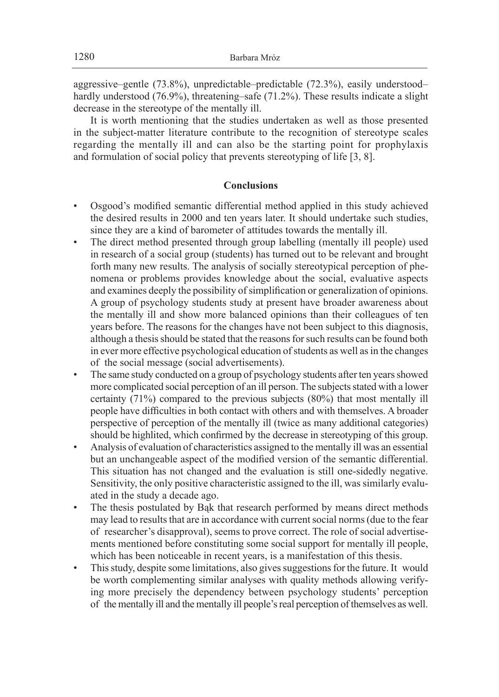aggressive–gentle (73.8%), unpredictable–predictable (72.3%), easily understood– hardly understood (76.9%), threatening–safe (71.2%). These results indicate a slight decrease in the stereotype of the mentally ill.

It is worth mentioning that the studies undertaken as well as those presented in the subject-matter literature contribute to the recognition of stereotype scales regarding the mentally ill and can also be the starting point for prophylaxis and formulation of social policy that prevents stereotyping of life [3, 8].

# **Conclusions**

- Osgood's modified semantic differential method applied in this study achieved the desired results in 2000 and ten years later. It should undertake such studies, since they are a kind of barometer of attitudes towards the mentally ill.
- The direct method presented through group labelling (mentally ill people) used in research of a social group (students) has turned out to be relevant and brought forth many new results. The analysis of socially stereotypical perception of phenomena or problems provides knowledge about the social, evaluative aspects and examines deeply the possibility of simplification or generalization of opinions. A group of psychology students study at present have broader awareness about the mentally ill and show more balanced opinions than their colleagues of ten years before. The reasons for the changes have not been subject to this diagnosis, although a thesis should be stated that the reasons for such results can be found both in ever more effective psychological education of students as well as in the changes of the social message (social advertisements).
- The same study conducted on a group of psychology students after ten years showed more complicated social perception of an ill person. The subjects stated with a lower certainty (71%) compared to the previous subjects (80%) that most mentally ill people have difficulties in both contact with others and with themselves. A broader perspective of perception of the mentally ill (twice as many additional categories) should be highlited, which confirmed by the decrease in stereotyping of this group.
- Analysis of evaluation of characteristics assigned to the mentally ill was an essential but an unchangeable aspect of the modified version of the semantic differential. This situation has not changed and the evaluation is still one-sidedly negative. Sensitivity, the only positive characteristic assigned to the ill, was similarly evaluated in the study a decade ago.
- The thesis postulated by Bąk that research performed by means direct methods may lead to results that are in accordance with current social norms (due to the fear of researcher's disapproval), seems to prove correct. The role of social advertisements mentioned before constituting some social support for mentally ill people, which has been noticeable in recent years, is a manifestation of this thesis.
- This study, despite some limitations, also gives suggestions for the future. It would be worth complementing similar analyses with quality methods allowing verifying more precisely the dependency between psychology students' perception of the mentally ill and the mentally ill people's real perception of themselves as well.